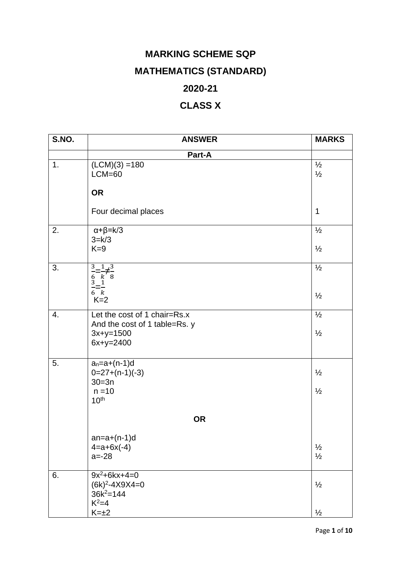## **MARKING SCHEME SQP MATHEMATICS (STANDARD) 2020-21**

## **CLASS X**

| S.NO. | <b>ANSWER</b>                                                               | <b>MARKS</b>                   |
|-------|-----------------------------------------------------------------------------|--------------------------------|
|       | Part-A                                                                      |                                |
| 1.    | $(LCM)(3) = 180$<br>$LCM=60$                                                | $\frac{1}{2}$<br>$\frac{1}{2}$ |
|       | <b>OR</b>                                                                   |                                |
|       | Four decimal places                                                         | $\mathbf 1$                    |
| 2.    | $\alpha + \beta = k/3$<br>$3=k/3$                                           | $\frac{1}{2}$                  |
|       | $K=9$                                                                       | $\frac{1}{2}$                  |
| 3.    | $\frac{3}{6} = \frac{1}{k} \neq \frac{3}{8}$<br>$\frac{3}{8} = \frac{1}{k}$ | $\frac{1}{2}$                  |
|       | $K=2$                                                                       | $\frac{1}{2}$                  |
| 4.    | Let the cost of 1 chair=Rs.x<br>And the cost of 1 table=Rs. y               | $\frac{1}{2}$                  |
|       | $3x+y=1500$<br>$6x+y=2400$                                                  | $\frac{1}{2}$                  |
| 5.    | $a_n = a + (n-1)d$<br>$0=27+(n-1)(-3)$                                      | $\frac{1}{2}$                  |
|       | $30 = 3n$<br>$n = 10$<br>10 <sup>th</sup>                                   | $\frac{1}{2}$                  |
|       | <b>OR</b>                                                                   |                                |
|       | $an=a+(n-1)d$                                                               |                                |
|       | $4 = a + 6x(-4)$<br>$a = -28$                                               | $\frac{1}{2}$<br>$\frac{1}{2}$ |
| 6.    | $9x^2+6kx+4=0$<br>$(6k)^2 - 4X9X4 = 0$                                      | $\frac{1}{2}$                  |
|       | $36k^2 = 144$<br>$K^2=4$                                                    |                                |
|       | $K=\pm 2$                                                                   | $\frac{1}{2}$                  |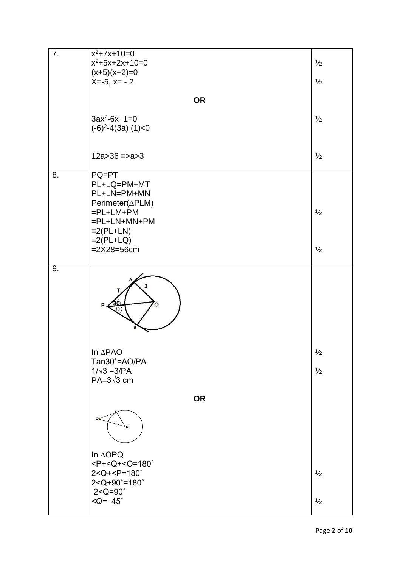| 7. | $x^2+7x+10=0$                                  |               |
|----|------------------------------------------------|---------------|
|    | $x^2+5x+2x+10=0$                               | $\frac{1}{2}$ |
|    | $(x+5)(x+2)=0$                                 | $\frac{1}{2}$ |
|    | $X=-5, x=-2$                                   |               |
|    | <b>OR</b>                                      |               |
|    |                                                |               |
|    | $3ax^2-6x+1=0$                                 | $\frac{1}{2}$ |
|    | $(-6)^2 - 4(3a)$ (1)<0                         |               |
|    |                                                |               |
|    | $12a > 36 \approx 3$                           | $\frac{1}{2}$ |
|    |                                                |               |
| 8. | PQ=PT<br>PL+LQ=PM+MT                           |               |
|    | PL+LN=PM+MN                                    |               |
|    | Perimeter( $\triangle$ PLM)                    |               |
|    | $=$ PL+LM+PM                                   | $\frac{1}{2}$ |
|    | $=$ PL+LN+MN+PM                                |               |
|    | $=2(PL+LN)$<br>$=2(PL+LQ)$                     |               |
|    | $=2X28=56cm$                                   | $\frac{1}{2}$ |
| 9. |                                                |               |
|    | 3                                              |               |
|    | In $\triangle$ PAO                             |               |
|    | Tan30°=AO/PA                                   | ½             |
|    | $1/\sqrt{3} = 3/PA$                            | $\frac{1}{2}$ |
|    | PA= $3\sqrt{3}$ cm                             |               |
|    | <b>OR</b>                                      |               |
|    |                                                |               |
|    | In ∆OPQ                                        |               |
|    | $<$ P+ <q+<o=180<math>^{\circ}</q+<o=180<math> |               |
|    | $2 < Q + < P = 180^\circ$                      | $\frac{1}{2}$ |
|    | $2 < Q + 90° = 180°$<br>$2 < Q = 90^\circ$     |               |
|    | $\leq Q = 45^\circ$                            | $\frac{1}{2}$ |
|    |                                                |               |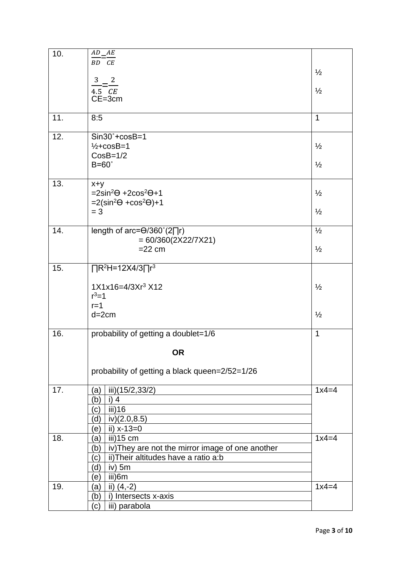| 10. | AD AE                                                          |               |
|-----|----------------------------------------------------------------|---------------|
|     | $BD$ <sup>-</sup> $CE$                                         |               |
|     |                                                                | $\frac{1}{2}$ |
|     | 3 <sup>7</sup><br>$\overline{\mathbf{c}}$                      |               |
|     | $4.5$ $CE$                                                     | $\frac{1}{2}$ |
|     | $CE = 3cm$                                                     |               |
| 11. | 8:5                                                            | $\mathbf{1}$  |
|     |                                                                |               |
| 12. | $Sin30°+cosB=1$                                                |               |
|     | $\frac{1}{2}$ +cosB=1                                          | $\frac{1}{2}$ |
|     | $CosB=1/2$                                                     |               |
|     | $B=60^\circ$                                                   | $\frac{1}{2}$ |
|     |                                                                |               |
| 13. | $x+y$<br>$=2\sin^2\Theta + 2\cos^2\Theta + 1$                  |               |
|     | $=2(\sin^2\Theta + \cos^2\Theta) + 1$                          | $\frac{1}{2}$ |
|     | $= 3$                                                          | $\frac{1}{2}$ |
|     |                                                                |               |
| 14. | length of arc= $\Theta$ /360°(2∏r)                             | $\frac{1}{2}$ |
|     | $= 60/360(2X22/7X21)$                                          |               |
|     | $=22$ cm                                                       | $\frac{1}{2}$ |
|     |                                                                |               |
| 15. | $\prod R^2H = 12X4/3\prod r^3$                                 |               |
|     | $1X1x16=4/3Xr^3X12$                                            | $\frac{1}{2}$ |
|     | $r^3 = 1$                                                      |               |
|     | $r=1$                                                          |               |
|     | $d=2cm$                                                        | $\frac{1}{2}$ |
|     |                                                                |               |
| 16. | probability of getting a doublet=1/6                           | 1             |
|     | <b>OR</b>                                                      |               |
|     |                                                                |               |
|     | probability of getting a black queen=2/52=1/26                 |               |
|     |                                                                |               |
| 17. | iii)(15/2,33/2)<br>(a)                                         | $1x4=4$       |
|     | (b)<br>i) $4$                                                  |               |
|     | iii)16<br>(c)                                                  |               |
|     | iv) $(2.0, 8.5)$<br>(d)                                        |               |
|     | ii) $x-13=0$<br>(e)                                            |               |
| 18. | iii)15 cm<br>(a)                                               | $1x4=4$       |
|     | iv) They are not the mirror image of one another<br>(b)        |               |
|     | ii) Their altitudes have a ratio a:b<br>(c)<br>iv) $5m$<br>(d) |               |
|     | iii)6m<br>(e)                                                  |               |
| 19. | ii) $(4,-2)$<br>(a)                                            | $1x4=4$       |
|     | i) Intersects x-axis<br>(b)                                    |               |
|     | iii) parabola<br>(c)                                           |               |
|     |                                                                |               |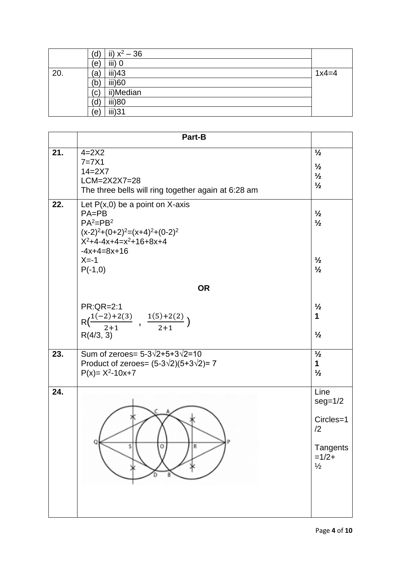|     | ii) $x^2 - 36$<br>d, |         |
|-----|----------------------|---------|
|     | iii) 0<br>$\epsilon$ |         |
| 20. | iii)43<br>'a         | $1x4=4$ |
|     | iii)60<br>(b)        |         |
|     | ii)Median<br>(c)     |         |
|     | iii)80<br>(d)        |         |
|     | iii)31<br>ίе,        |         |

|     | Part-B                                                                                                                                                                       |                                                                              |
|-----|------------------------------------------------------------------------------------------------------------------------------------------------------------------------------|------------------------------------------------------------------------------|
| 21. | $4=2X2$<br>$7=7\times1$<br>$14 = 2X7$<br>LCM=2X2X7=28<br>The three bells will ring together again at 6:28 am                                                                 | $\frac{1}{2}$<br>$\frac{1}{2}$<br>$\frac{1}{2}$<br>$\frac{1}{2}$             |
| 22. | Let $P(x,0)$ be a point on X-axis<br>$PA = PB$<br>$PA2=PB2$<br>$(x-2)^{2}+(0+2)^{2}=(x+4)^{2}+(0-2)^{2}$<br>$X^2+4-4x+4=x^2+16+8x+4$<br>$-4x+4=8x+16$<br>$X=-1$<br>$P(-1,0)$ | $\frac{1}{2}$<br>$\frac{1}{2}$<br>$\frac{1}{2}$<br>$\frac{1}{2}$             |
|     | <b>OR</b>                                                                                                                                                                    |                                                                              |
|     | <b>PR:QR=2:1</b><br>$R\left(\frac{1(-2)+2(3)}{2+1}\right)$ , $\frac{1(5)+2(2)}{2+1}\right)$<br>R(4/3, 3)                                                                     | $\frac{1}{2}$<br>1<br>$\frac{1}{2}$                                          |
| 23. | Sum of zeroes= $5 - 3\sqrt{2} + 5 + 3\sqrt{2} = 10$<br>Product of zeroes= $(5-3\sqrt{2})(5+3\sqrt{2})= 7$<br>$P(x)= X^2-10x+7$                                               | $\frac{1}{2}$<br>1<br>$\frac{1}{2}$                                          |
| 24. | s<br>R                                                                                                                                                                       | Line<br>$seg=1/2$<br>Circles=1<br>/2<br>Tangents<br>$=1/2+$<br>$\frac{1}{2}$ |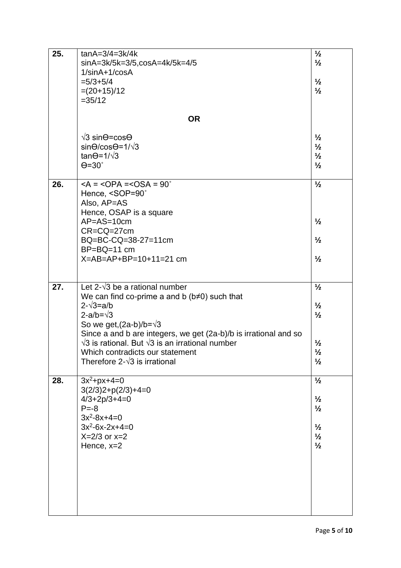| 25. | $tanA=3/4=3k/4k$                                                 | $\frac{1}{2}$ |
|-----|------------------------------------------------------------------|---------------|
|     | sinA=3k/5k=3/5,cosA=4k/5k=4/5                                    | $\frac{1}{2}$ |
|     | $1/\sin A + 1/\cos A$                                            |               |
|     | $= 5/3 + 5/4$                                                    | $\frac{1}{2}$ |
|     | $=(20+15)/12$                                                    | $\frac{1}{2}$ |
|     | $=35/12$                                                         |               |
|     |                                                                  |               |
|     | <b>OR</b>                                                        |               |
|     | $\sqrt{3}$ sin $\Theta$ =cos $\Theta$                            | $\frac{1}{2}$ |
|     | $sin\Theta/cos\Theta = 1/\sqrt{3}$                               | $\frac{1}{2}$ |
|     | $tan\Theta = \frac{1}{\sqrt{3}}$                                 | $\frac{1}{2}$ |
|     | $\Theta = 30^\circ$                                              | $\frac{1}{2}$ |
|     |                                                                  |               |
| 26. | $<$ A = $<$ OPA = $<$ OSA = 90 $^{\circ}$                        | $\frac{1}{2}$ |
|     | Hence, <sop=90°< th=""><th></th></sop=90°<>                      |               |
|     | Also, AP=AS                                                      |               |
|     | Hence, OSAP is a square                                          |               |
|     | $AP = AS = 10cm$                                                 | $\frac{1}{2}$ |
|     | $CR = CQ = 27cm$                                                 |               |
|     | BQ=BC-CQ=38-27=11cm                                              | $\frac{1}{2}$ |
|     | $BP = BQ = 11$ cm                                                |               |
|     | $X = AB = AP + BP = 10 + 11 = 21$ cm                             | $\frac{1}{2}$ |
|     |                                                                  |               |
|     |                                                                  |               |
| 27. | Let 2- $\sqrt{3}$ be a rational number                           | $\frac{1}{2}$ |
|     | We can find co-prime a and b $(b \neq 0)$ such that              |               |
|     | $2 - \sqrt{3} = a/b$                                             | $\frac{1}{2}$ |
|     | $2-a/b=\sqrt{3}$                                                 | $\frac{1}{2}$ |
|     | So we get, $(2a-b)/b=\sqrt{3}$                                   |               |
|     | Since a and b are integers, we get (2a-b)/b is irrational and so |               |
|     | $\sqrt{3}$ is rational. But $\sqrt{3}$ is an irrational number   | $\frac{1}{2}$ |
|     | Which contradicts our statement                                  | $\frac{1}{2}$ |
|     | Therefore 2- $\sqrt{3}$ is irrational                            | $\frac{1}{2}$ |
|     |                                                                  |               |
| 28. | $3x^2+px+4=0$                                                    | $\frac{1}{2}$ |
|     | $3(2/3)2+p(2/3)+4=0$                                             |               |
|     | $4/3+2p/3+4=0$                                                   | $\frac{1}{2}$ |
|     | $P = -8$                                                         | $\frac{1}{2}$ |
|     | $3x^2-8x+4=0$                                                    |               |
|     | $3x^2-6x-2x+4=0$                                                 | $\frac{1}{2}$ |
|     | $X=2/3$ or $x=2$                                                 | $\frac{1}{2}$ |
|     | Hence, x=2                                                       | $\frac{1}{2}$ |
|     |                                                                  |               |
|     |                                                                  |               |
|     |                                                                  |               |
|     |                                                                  |               |
|     |                                                                  |               |
|     |                                                                  |               |
|     |                                                                  |               |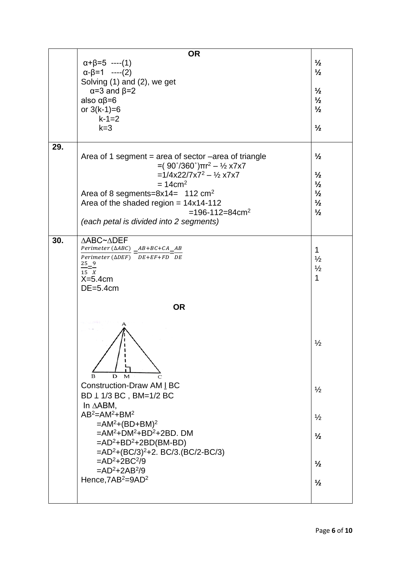|     | <b>OR</b>                                                                    |               |
|-----|------------------------------------------------------------------------------|---------------|
|     | $\alpha + \beta = 5$ ----(1)                                                 | $\frac{1}{2}$ |
|     | $\alpha-\beta=1$ ----(2)                                                     | $\frac{1}{2}$ |
|     | Solving (1) and (2), we get                                                  |               |
|     | $\alpha = 3$ and $\beta = 2$                                                 | $\frac{1}{2}$ |
|     | also $\alpha\beta=6$                                                         | $\frac{1}{2}$ |
|     | or $3(k-1)=6$                                                                | $\frac{1}{2}$ |
|     | $k-1=2$                                                                      |               |
|     | $k=3$                                                                        | $\frac{1}{2}$ |
|     |                                                                              |               |
| 29. |                                                                              |               |
|     | Area of 1 segment = area of sector -area of triangle                         | $\frac{1}{2}$ |
|     | $=(90^{\circ}/360^{\circ})\pi r^2 - \frac{1}{2} \times 7 \times 7$           |               |
|     | $=1/4x22/7x7^2 - \frac{1}{2}x7x7$                                            | $\frac{1}{2}$ |
|     | $= 14$ cm <sup>2</sup>                                                       | $\frac{1}{2}$ |
|     | Area of 8 segments= $8x14 = 112$ cm <sup>2</sup>                             | $\frac{1}{2}$ |
|     |                                                                              | $\frac{1}{2}$ |
|     | Area of the shaded region = $14x14-112$<br>$=196 - 112 = 84$ cm <sup>2</sup> | $\frac{1}{2}$ |
|     |                                                                              |               |
|     | (each petal is divided into 2 segments)                                      |               |
|     |                                                                              |               |
| 30. | ∆ABC~∆DEF<br>Perimeter ( $\triangle ABC$ ) $AB+BC+CA$ $AB$                   |               |
|     | Perimeter ( $\triangle DEF$ ) $DE + EF + FD$ DE                              | $\mathbf 1$   |
|     |                                                                              | $\frac{1}{2}$ |
|     | $\frac{25}{15} = \frac{9}{X}$                                                | $\frac{1}{2}$ |
|     | $X=5.4cm$                                                                    | 1             |
|     | $DE = 5.4cm$                                                                 |               |
|     | <b>OR</b>                                                                    |               |
|     |                                                                              |               |
|     |                                                                              |               |
|     |                                                                              |               |
|     |                                                                              |               |
|     |                                                                              |               |
|     |                                                                              | $\frac{1}{2}$ |
|     |                                                                              |               |
|     |                                                                              |               |
|     | D<br>в<br>м                                                                  |               |
|     | <b>Construction-Draw AM I BC</b>                                             |               |
|     |                                                                              | $\frac{1}{2}$ |
|     | BD 1 1/3 BC, BM=1/2 BC                                                       |               |
|     | In $\triangle$ ABM,                                                          |               |
|     | $AB^2 = AM^2 + BM^2$                                                         | $\frac{1}{2}$ |
|     | $=AM^2+(BD+BM)^2$                                                            |               |
|     | $=AM^2+DM^2+BD^2+2BD$ . DM                                                   | $\frac{1}{2}$ |
|     | $=AD^2+BD^2+2BD(BM-BD)$                                                      |               |
|     | $=AD^2+(BC/3)^2+2. BC/3.(BC/2-BC/3)$                                         |               |
|     | $=AD^2+2BC^2/9$                                                              | $\frac{1}{2}$ |
|     | $=AD^2+2AB^2/9$                                                              |               |
|     | Hence, 7AB <sup>2</sup> =9AD <sup>2</sup>                                    | $\frac{1}{2}$ |
|     |                                                                              |               |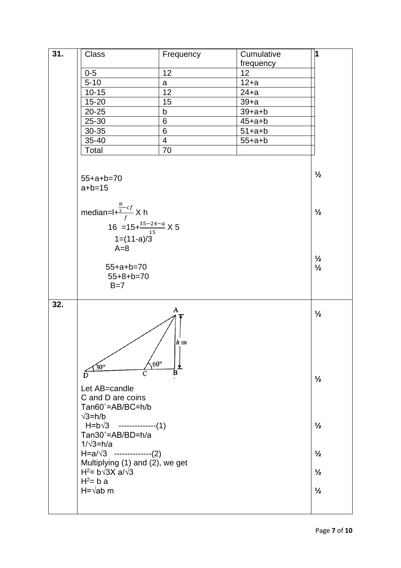| 31. | Class                                                                                                        | Frequency      | Cumulative   | 1                              |
|-----|--------------------------------------------------------------------------------------------------------------|----------------|--------------|--------------------------------|
|     |                                                                                                              |                | frequency    |                                |
|     | $0-5$                                                                                                        | 12             | 12           |                                |
|     | $5 - 10$                                                                                                     | a              | $12+a$       |                                |
|     | $10 - 15$                                                                                                    | 12             | $24+a$       |                                |
|     | 15-20                                                                                                        | 15             | $39+a$       |                                |
|     | $20 - 25$                                                                                                    | b              | $39+a+b$     |                                |
|     | 25-30                                                                                                        | 6              | $45 + a + b$ |                                |
|     | 30-35                                                                                                        | 6              | $51+ a+b$    |                                |
|     | 35-40                                                                                                        | $\overline{4}$ | $55 + a + b$ |                                |
|     | Total                                                                                                        | 70             |              |                                |
|     |                                                                                                              |                |              |                                |
|     | $55 + a + b = 70$<br>$a + b = 15$                                                                            |                |              | $\frac{1}{2}$                  |
|     | median= $I + \frac{\frac{N}{2} - cf}{f} X h$                                                                 |                |              | $\frac{1}{2}$                  |
|     |                                                                                                              |                |              |                                |
|     | 16 = $15 + \frac{35-24-a}{15}$ X 5                                                                           |                |              |                                |
|     | $1=(11-a)/3$                                                                                                 |                |              |                                |
|     | $A=8$                                                                                                        |                |              |                                |
|     |                                                                                                              |                |              | $\frac{1}{2}$                  |
|     | $55 + a + b = 70$                                                                                            |                |              | $\frac{1}{2}$                  |
|     | $55+8+b=70$                                                                                                  |                |              |                                |
|     | $B=7$                                                                                                        |                |              |                                |
|     |                                                                                                              |                |              |                                |
| 32. | $60^\circ$<br>$30^\circ$<br>C<br>D                                                                           | A<br>$h$ m     |              | $\frac{1}{2}$<br>$\frac{1}{2}$ |
|     | Let AB=candle<br>C and D are coins<br>Tan60°=AB/BC=h/b<br>$\sqrt{3}$ =h/b<br>$H=b\sqrt{3}$ --------------(1) |                |              | $\frac{1}{2}$                  |
|     | Tan30°=AB/BD=h/a<br>$1/\sqrt{3}$ =h/a                                                                        |                |              |                                |
|     | $H=a/\sqrt{3}$ --------------(2)                                                                             |                |              | $\frac{1}{2}$                  |
|     | Multiplying (1) and (2), we get                                                                              |                |              |                                |
|     | H <sup>2</sup> = $b\sqrt{3}X$ a/ $\sqrt{3}$                                                                  |                |              | $\frac{1}{2}$                  |
|     | $H^2 = b a$<br>$H = \sqrt{ab}$ m                                                                             |                |              | $\frac{1}{2}$                  |
|     |                                                                                                              |                |              |                                |
|     |                                                                                                              |                |              |                                |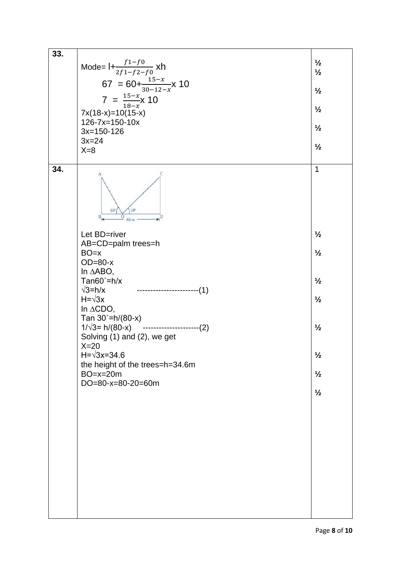| 33. | Mode= $1+\frac{f_1-f_0}{2f_1-f_2-f_0}$ xh<br>67 = 60+ $\frac{15-x}{30-12-x}$ x 10<br>7 = $\frac{15-x}{18-x}$ x 10<br>$7x(18-x)=10(15-x)$<br>126-7x=150-10x<br>$3x=150-126$<br>$3x=24$<br>$X=8$                                                                                                                                                                                                                                                       | $\frac{1}{2}$<br>$\frac{1}{2}$<br>$\frac{1}{2}$<br>$\frac{1}{2}$<br>$\frac{1}{2}$<br>$\frac{1}{2}$                                                   |
|-----|------------------------------------------------------------------------------------------------------------------------------------------------------------------------------------------------------------------------------------------------------------------------------------------------------------------------------------------------------------------------------------------------------------------------------------------------------|------------------------------------------------------------------------------------------------------------------------------------------------------|
| 34. | 30<br>60<br>80 <sub>m</sub><br>Let BD=river<br>AB=CD=palm trees=h<br>$BO=x$<br>$OD = 80-x$<br>In ∆ABO,<br>Tan $60^\circ$ =h/x<br>-----------------------(1)<br>$\sqrt{3}$ =h/x<br>$H = \sqrt{3x}$<br>In $\triangle CDO$ ,<br>Tan $30^{\circ}$ =h/(80-x)<br>$1/\sqrt{3}$ = h/(80-x) ---------------------(2)<br>Solving (1) and (2), we get<br>$X=20$<br>$H = \sqrt{3x} = 34.6$<br>the height of the trees=h=34.6m<br>$BO=x=20m$<br>DO=80-x=80-20=60m | $\mathbf{1}$<br>$\frac{1}{2}$<br>$\frac{1}{2}$<br>$\frac{1}{2}$<br>$\frac{1}{2}$<br>$\frac{1}{2}$<br>$\frac{1}{2}$<br>$\frac{1}{2}$<br>$\frac{1}{2}$ |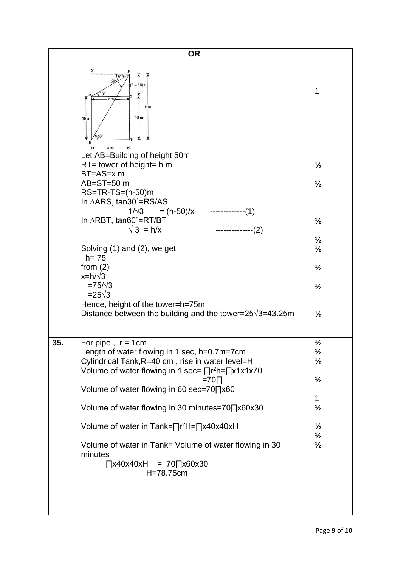|     | <b>OR</b>                                                                       |                                |
|-----|---------------------------------------------------------------------------------|--------------------------------|
|     | х                                                                               |                                |
|     | $(h - 50)$ m                                                                    |                                |
|     | $h$ m                                                                           | 1                              |
|     | 50 m<br>50 m                                                                    |                                |
|     |                                                                                 |                                |
|     | $x$ m $-$<br>Let AB=Building of height 50m                                      |                                |
|     | $RT =$ tower of height= h m                                                     | $\frac{1}{2}$                  |
|     | $BT = AS = x m$<br>$AB = ST = 50$ m                                             | $\frac{1}{2}$                  |
|     | $RS=TR-TS=(h-50)m$<br>In ∆ARS, tan30°=RS/AS                                     |                                |
|     | $1/\sqrt{3}$<br>$= (h - 50)/x$<br>-------------(1)                              |                                |
|     | In $\triangle$ RBT, tan60°=RT/BT<br>$\sqrt{3}$ = h/x<br>-(2)                    | $\frac{1}{2}$                  |
|     | Solving (1) and (2), we get                                                     | $\frac{1}{2}$<br>$\frac{1}{2}$ |
|     | $h = 75$                                                                        |                                |
|     | from $(2)$<br>$x=h/\sqrt{3}$                                                    | $\frac{1}{2}$                  |
|     | $= 75 / \sqrt{3}$<br>$=25\sqrt{3}$                                              | $\frac{1}{2}$                  |
|     | Hence, height of the tower=h=75m                                                |                                |
|     | Distance between the building and the tower= $25\sqrt{3}$ =43.25m               | $\frac{1}{2}$                  |
| 35. | For pipe, $r = 1$ cm                                                            | $\frac{1}{2}$                  |
|     | Length of water flowing in 1 sec, $h=0.7$ m=7cm                                 | ⅛                              |
|     | Cylindrical Tank, R=40 cm, rise in water level=H                                | $\frac{1}{2}$                  |
|     | Volume of water flowing in 1 sec= $\prod r^2 h = \prod x 1x 1x 70$<br>$=70\Box$ | $\frac{1}{2}$                  |
|     | Volume of water flowing in 60 sec=70∏x60                                        | $\mathbf 1$                    |
|     | Volume of water flowing in 30 minutes=70∏x60x30                                 | $\frac{1}{2}$                  |
|     | Volume of water in Tank= $\prod$ r <sup>2</sup> H= $\prod$ x40x40xH             | $\frac{1}{2}$                  |
|     | Volume of water in Tank= Volume of water flowing in 30                          | $\frac{1}{2}$<br>$\frac{1}{2}$ |
|     | minutes<br>$\bigcap x40x40xH = 70 \bigcap x60x30$                               |                                |
|     | H=78.75cm                                                                       |                                |
|     |                                                                                 |                                |
|     |                                                                                 |                                |